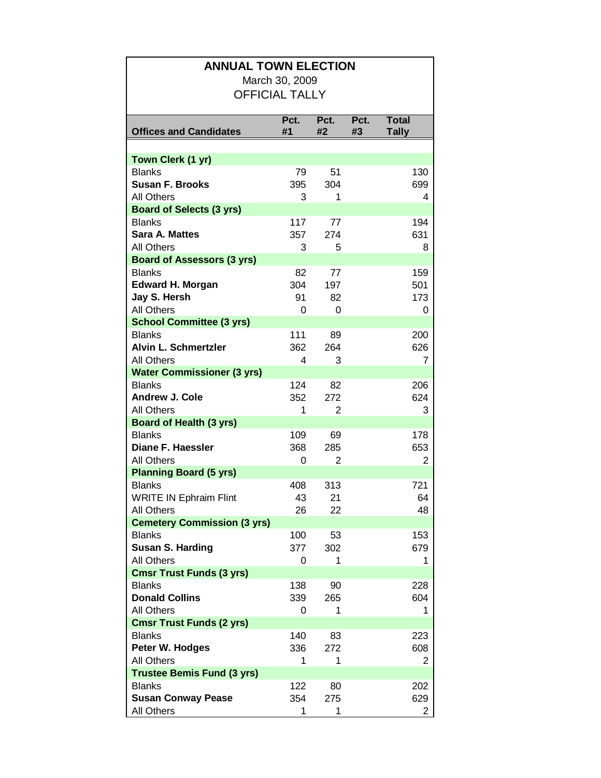| <b>ANNUAL TOWN ELECTION</b>                     |      |          |      |              |  |
|-------------------------------------------------|------|----------|------|--------------|--|
| March 30, 2009<br><b>OFFICIAL TALLY</b>         |      |          |      |              |  |
|                                                 |      |          |      |              |  |
|                                                 | Pct. | Pct.     | Pct. | <b>Total</b> |  |
| <b>Offices and Candidates</b>                   | #1   | #2       | #3   | <b>Tally</b> |  |
|                                                 |      |          |      |              |  |
| Town Clerk (1 yr)<br><b>Blanks</b>              | 79   | 51       |      | 130          |  |
| <b>Susan F. Brooks</b>                          | 395  | 304      |      | 699          |  |
| <b>All Others</b>                               | 3    | 1        |      | 4            |  |
| <b>Board of Selects (3 yrs)</b>                 |      |          |      |              |  |
| <b>Blanks</b>                                   | 117  | 77       |      | 194          |  |
| <b>Sara A. Mattes</b>                           | 357  | 274      |      | 631          |  |
| <b>All Others</b>                               | 3    | 5        |      | 8            |  |
| <b>Board of Assessors (3 yrs)</b>               |      |          |      |              |  |
| <b>Blanks</b>                                   | 82   | 77       |      | 159          |  |
| <b>Edward H. Morgan</b>                         | 304  | 197      |      | 501          |  |
| Jay S. Hersh                                    | 91   | 82       |      | 173          |  |
| <b>All Others</b>                               | 0    | 0        |      | 0            |  |
| <b>School Committee (3 yrs)</b>                 |      |          |      |              |  |
| <b>Blanks</b>                                   | 111  | 89       |      | 200          |  |
| Alvin L. Schmertzler                            | 362  | 264      |      | 626          |  |
| <b>All Others</b>                               | 4    | 3        |      | 7            |  |
| <b>Water Commissioner (3 yrs)</b>               |      |          |      |              |  |
| <b>Blanks</b>                                   | 124  | 82       |      | 206          |  |
| <b>Andrew J. Cole</b>                           | 352  | 272      |      | 624          |  |
| <b>All Others</b>                               | 1    | 2        |      | 3            |  |
| <b>Board of Health (3 yrs)</b><br><b>Blanks</b> | 109  | 69       |      | 178          |  |
| Diane F. Haessler                               | 368  | 285      |      | 653          |  |
| <b>All Others</b>                               | 0    | 2        |      | 2            |  |
| <b>Planning Board (5 yrs)</b>                   |      |          |      |              |  |
| <b>Blanks</b>                                   | 408  | 313      |      | 721          |  |
| <b>WRITE IN Ephraim Flint</b>                   | 43   | 21       |      | 64           |  |
| <b>All Others</b>                               | 26   | 22       |      | 48           |  |
| <b>Cemetery Commission (3 yrs)</b>              |      |          |      |              |  |
| <b>Blanks</b>                                   | 100  | 53       |      | 153          |  |
| <b>Susan S. Harding</b>                         | 377  | 302      |      | 679          |  |
| <b>All Others</b>                               | 0    | 1        |      | 1            |  |
| <b>Cmsr Trust Funds (3 yrs)</b>                 |      |          |      |              |  |
| <b>Blanks</b>                                   | 138  | 90       |      | 228          |  |
| <b>Donald Collins</b>                           | 339  | 265      |      | 604          |  |
| <b>All Others</b>                               | 0    | 1        |      | 1            |  |
| <b>Cmsr Trust Funds (2 yrs)</b>                 |      |          |      |              |  |
| <b>Blanks</b>                                   | 140  | 83       |      | 223          |  |
| Peter W. Hodges                                 | 336  | 272      |      | 608          |  |
| <b>All Others</b>                               | 1    | 1        |      | 2            |  |
| <b>Trustee Bemis Fund (3 yrs)</b>               |      |          |      |              |  |
| <b>Blanks</b>                                   | 122  | 80       |      | 202          |  |
| <b>Susan Conway Pease</b><br>All Others         | 354  | 275<br>1 |      | 629          |  |
|                                                 | 1    |          |      | 2            |  |